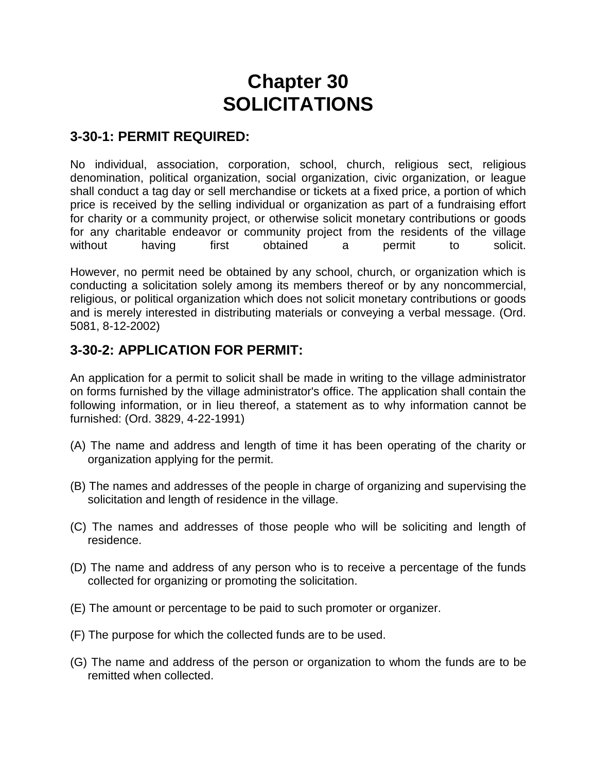# **Chapter 30 SOLICITATIONS**

#### **3-30-1: PERMIT REQUIRED:**

No individual, association, corporation, school, church, religious sect, religious denomination, political organization, social organization, civic organization, or league shall conduct a tag day or sell merchandise or tickets at a fixed price, a portion of which price is received by the selling individual or organization as part of a fundraising effort for charity or a community project, or otherwise solicit monetary contributions or goods for any charitable endeavor or community project from the residents of the village without having first obtained a permit to solicit.

However, no permit need be obtained by any school, church, or organization which is conducting a solicitation solely among its members thereof or by any noncommercial, religious, or political organization which does not solicit monetary contributions or goods and is merely interested in distributing materials or conveying a verbal message. (Ord. 5081, 8-12-2002)

# **3-30-2: APPLICATION FOR PERMIT:**

An application for a permit to solicit shall be made in writing to the village administrator on forms furnished by the village administrator's office. The application shall contain the following information, or in lieu thereof, a statement as to why information cannot be furnished: (Ord. 3829, 4-22-1991)

- (A) The name and address and length of time it has been operating of the charity or organization applying for the permit.
- (B) The names and addresses of the people in charge of organizing and supervising the solicitation and length of residence in the village.
- (C) The names and addresses of those people who will be soliciting and length of residence.
- (D) The name and address of any person who is to receive a percentage of the funds collected for organizing or promoting the solicitation.
- (E) The amount or percentage to be paid to such promoter or organizer.
- (F) The purpose for which the collected funds are to be used.
- (G) The name and address of the person or organization to whom the funds are to be remitted when collected.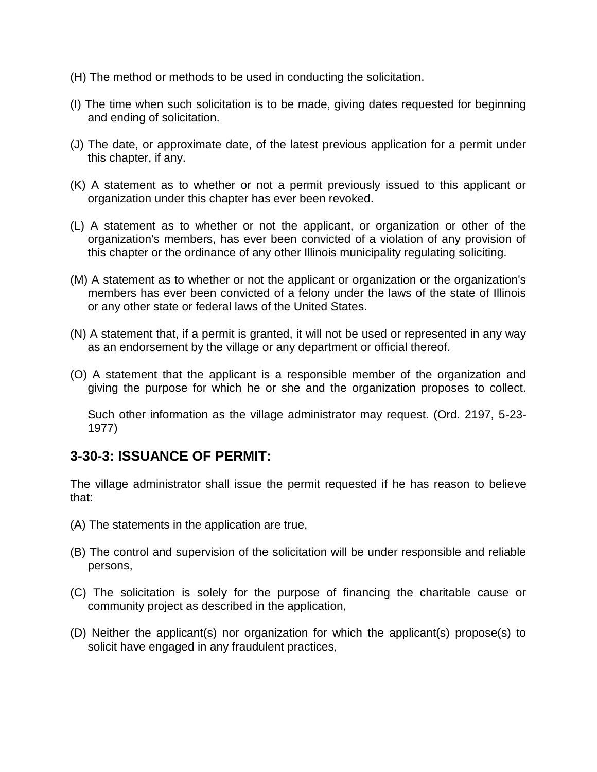- (H) The method or methods to be used in conducting the solicitation.
- (I) The time when such solicitation is to be made, giving dates requested for beginning and ending of solicitation.
- (J) The date, or approximate date, of the latest previous application for a permit under this chapter, if any.
- (K) A statement as to whether or not a permit previously issued to this applicant or organization under this chapter has ever been revoked.
- (L) A statement as to whether or not the applicant, or organization or other of the organization's members, has ever been convicted of a violation of any provision of this chapter or the ordinance of any other Illinois municipality regulating soliciting.
- (M) A statement as to whether or not the applicant or organization or the organization's members has ever been convicted of a felony under the laws of the state of Illinois or any other state or federal laws of the United States.
- (N) A statement that, if a permit is granted, it will not be used or represented in any way as an endorsement by the village or any department or official thereof.
- (O) A statement that the applicant is a responsible member of the organization and giving the purpose for which he or she and the organization proposes to collect.

Such other information as the village administrator may request. (Ord. 2197, 5-23- 1977)

## **3-30-3: ISSUANCE OF PERMIT:**

The village administrator shall issue the permit requested if he has reason to believe that:

- (A) The statements in the application are true,
- (B) The control and supervision of the solicitation will be under responsible and reliable persons,
- (C) The solicitation is solely for the purpose of financing the charitable cause or community project as described in the application,
- (D) Neither the applicant(s) nor organization for which the applicant(s) propose(s) to solicit have engaged in any fraudulent practices,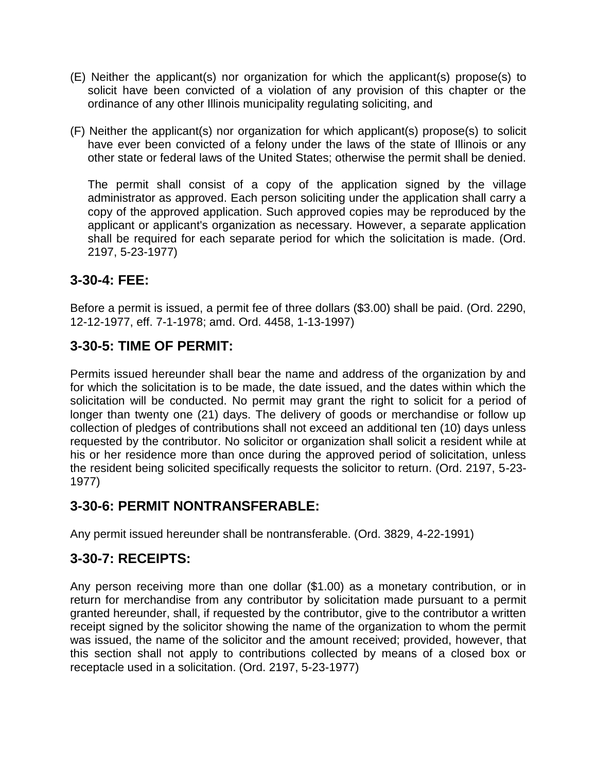- (E) Neither the applicant(s) nor organization for which the applicant(s) propose(s) to solicit have been convicted of a violation of any provision of this chapter or the ordinance of any other Illinois municipality regulating soliciting, and
- (F) Neither the applicant(s) nor organization for which applicant(s) propose(s) to solicit have ever been convicted of a felony under the laws of the state of Illinois or any other state or federal laws of the United States; otherwise the permit shall be denied.

The permit shall consist of a copy of the application signed by the village administrator as approved. Each person soliciting under the application shall carry a copy of the approved application. Such approved copies may be reproduced by the applicant or applicant's organization as necessary. However, a separate application shall be required for each separate period for which the solicitation is made. (Ord. 2197, 5-23-1977)

# **3-30-4: FEE:**

Before a permit is issued, a permit fee of three dollars (\$3.00) shall be paid. (Ord. 2290, 12-12-1977, eff. 7-1-1978; amd. Ord. 4458, 1-13-1997)

# **3-30-5: TIME OF PERMIT:**

Permits issued hereunder shall bear the name and address of the organization by and for which the solicitation is to be made, the date issued, and the dates within which the solicitation will be conducted. No permit may grant the right to solicit for a period of longer than twenty one (21) days. The delivery of goods or merchandise or follow up collection of pledges of contributions shall not exceed an additional ten (10) days unless requested by the contributor. No solicitor or organization shall solicit a resident while at his or her residence more than once during the approved period of solicitation, unless the resident being solicited specifically requests the solicitor to return. (Ord. 2197, 5-23- 1977)

## **3-30-6: PERMIT NONTRANSFERABLE:**

Any permit issued hereunder shall be nontransferable. (Ord. 3829, 4-22-1991)

## **3-30-7: RECEIPTS:**

Any person receiving more than one dollar (\$1.00) as a monetary contribution, or in return for merchandise from any contributor by solicitation made pursuant to a permit granted hereunder, shall, if requested by the contributor, give to the contributor a written receipt signed by the solicitor showing the name of the organization to whom the permit was issued, the name of the solicitor and the amount received; provided, however, that this section shall not apply to contributions collected by means of a closed box or receptacle used in a solicitation. (Ord. 2197, 5-23-1977)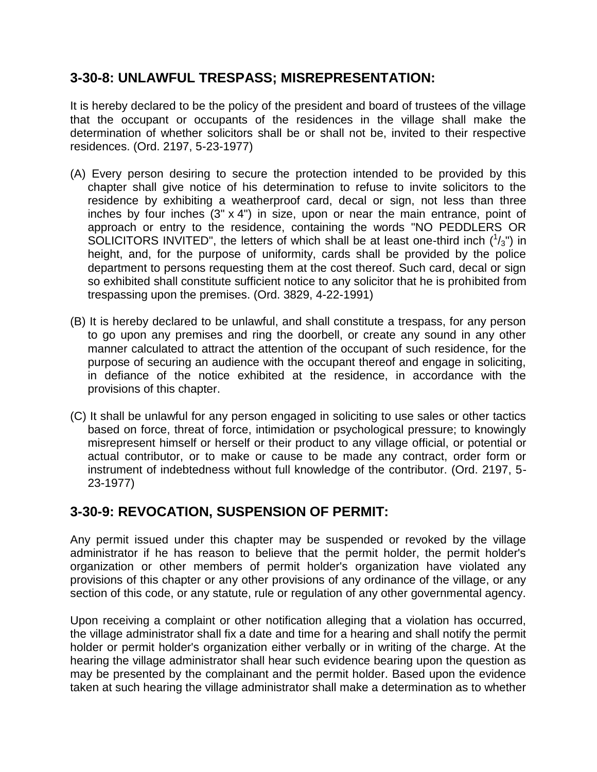## **3-30-8: UNLAWFUL TRESPASS; MISREPRESENTATION:**

It is hereby declared to be the policy of the president and board of trustees of the village that the occupant or occupants of the residences in the village shall make the determination of whether solicitors shall be or shall not be, invited to their respective residences. (Ord. 2197, 5-23-1977)

- (A) Every person desiring to secure the protection intended to be provided by this chapter shall give notice of his determination to refuse to invite solicitors to the residence by exhibiting a weatherproof card, decal or sign, not less than three inches by four inches  $(3" \times 4")$  in size, upon or near the main entrance, point of approach or entry to the residence, containing the words "NO PEDDLERS OR SOLICITORS INVITED", the letters of which shall be at least one-third inch  $(^{1}/_{3})$  in height, and, for the purpose of uniformity, cards shall be provided by the police department to persons requesting them at the cost thereof. Such card, decal or sign so exhibited shall constitute sufficient notice to any solicitor that he is prohibited from trespassing upon the premises. (Ord. 3829, 4-22-1991)
- (B) It is hereby declared to be unlawful, and shall constitute a trespass, for any person to go upon any premises and ring the doorbell, or create any sound in any other manner calculated to attract the attention of the occupant of such residence, for the purpose of securing an audience with the occupant thereof and engage in soliciting, in defiance of the notice exhibited at the residence, in accordance with the provisions of this chapter.
- (C) It shall be unlawful for any person engaged in soliciting to use sales or other tactics based on force, threat of force, intimidation or psychological pressure; to knowingly misrepresent himself or herself or their product to any village official, or potential or actual contributor, or to make or cause to be made any contract, order form or instrument of indebtedness without full knowledge of the contributor. (Ord. 2197, 5- 23-1977)

## **3-30-9: REVOCATION, SUSPENSION OF PERMIT:**

Any permit issued under this chapter may be suspended or revoked by the village administrator if he has reason to believe that the permit holder, the permit holder's organization or other members of permit holder's organization have violated any provisions of this chapter or any other provisions of any ordinance of the village, or any section of this code, or any statute, rule or regulation of any other governmental agency.

Upon receiving a complaint or other notification alleging that a violation has occurred, the village administrator shall fix a date and time for a hearing and shall notify the permit holder or permit holder's organization either verbally or in writing of the charge. At the hearing the village administrator shall hear such evidence bearing upon the question as may be presented by the complainant and the permit holder. Based upon the evidence taken at such hearing the village administrator shall make a determination as to whether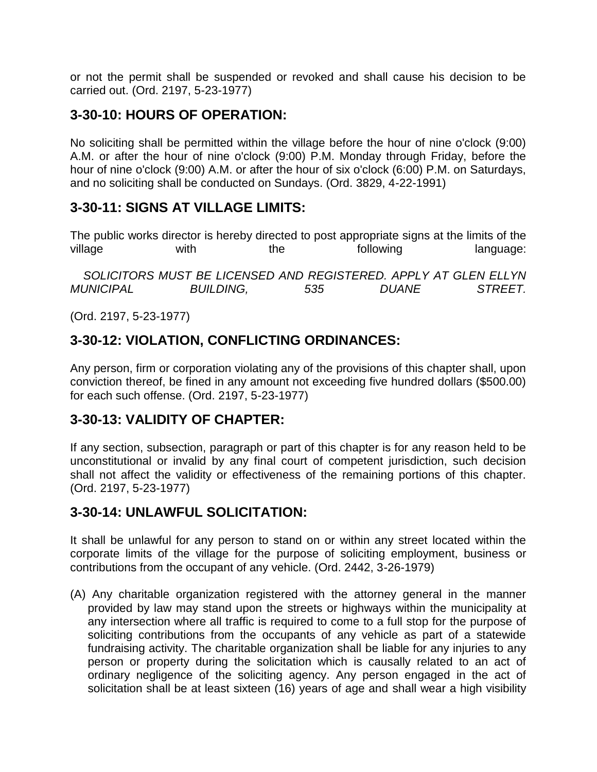or not the permit shall be suspended or revoked and shall cause his decision to be carried out. (Ord. 2197, 5-23-1977)

# **3-30-10: HOURS OF OPERATION:**

No soliciting shall be permitted within the village before the hour of nine o'clock (9:00) A.M. or after the hour of nine o'clock (9:00) P.M. Monday through Friday, before the hour of nine o'clock (9:00) A.M. or after the hour of six o'clock (6:00) P.M. on Saturdays, and no soliciting shall be conducted on Sundays. (Ord. 3829, 4-22-1991)

#### **3-30-11: SIGNS AT VILLAGE LIMITS:**

The public works director is hereby directed to post appropriate signs at the limits of the village with the following language:

 *SOLICITORS MUST BE LICENSED AND REGISTERED. APPLY AT GLEN ELLYN MUNICIPAL BUILDING, 535 DUANE STREET.*

(Ord. 2197, 5-23-1977)

## **3-30-12: VIOLATION, CONFLICTING ORDINANCES:**

Any person, firm or corporation violating any of the provisions of this chapter shall, upon conviction thereof, be fined in any amount not exceeding five hundred dollars (\$500.00) for each such offense. (Ord. 2197, 5-23-1977)

## **3-30-13: VALIDITY OF CHAPTER:**

If any section, subsection, paragraph or part of this chapter is for any reason held to be unconstitutional or invalid by any final court of competent jurisdiction, such decision shall not affect the validity or effectiveness of the remaining portions of this chapter. (Ord. 2197, 5-23-1977)

## **3-30-14: UNLAWFUL SOLICITATION:**

It shall be unlawful for any person to stand on or within any street located within the corporate limits of the village for the purpose of soliciting employment, business or contributions from the occupant of any vehicle. (Ord. 2442, 3-26-1979)

(A) Any charitable organization registered with the attorney general in the manner provided by law may stand upon the streets or highways within the municipality at any intersection where all traffic is required to come to a full stop for the purpose of soliciting contributions from the occupants of any vehicle as part of a statewide fundraising activity. The charitable organization shall be liable for any injuries to any person or property during the solicitation which is causally related to an act of ordinary negligence of the soliciting agency. Any person engaged in the act of solicitation shall be at least sixteen (16) years of age and shall wear a high visibility